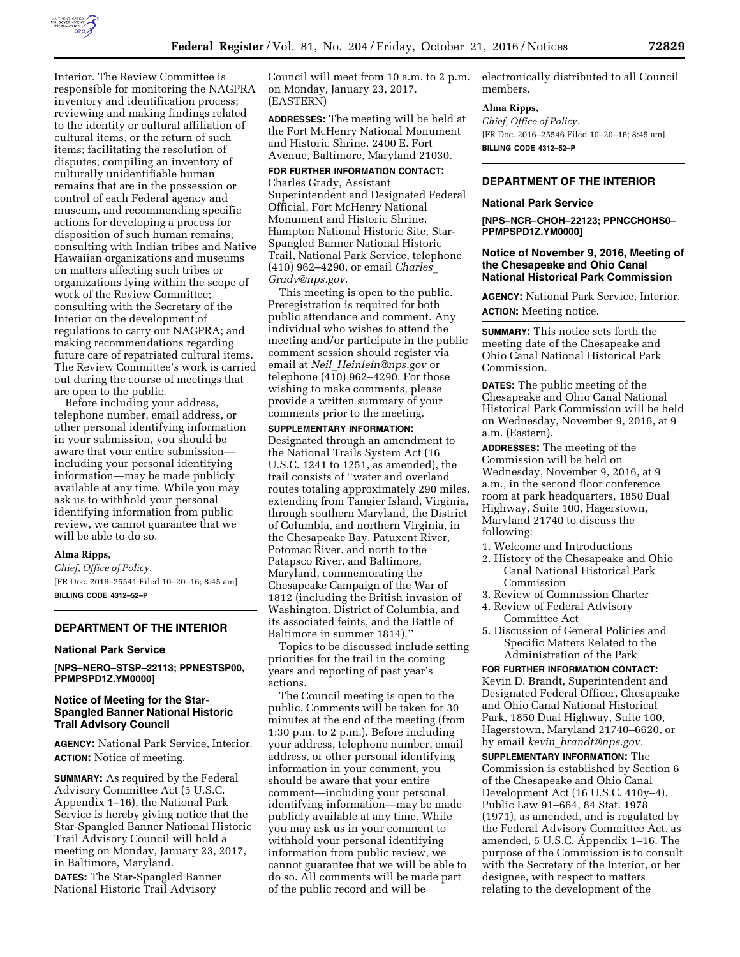

Interior. The Review Committee is responsible for monitoring the NAGPRA inventory and identification process; reviewing and making findings related to the identity or cultural affiliation of cultural items, or the return of such items; facilitating the resolution of disputes; compiling an inventory of culturally unidentifiable human remains that are in the possession or control of each Federal agency and museum, and recommending specific actions for developing a process for disposition of such human remains; consulting with Indian tribes and Native Hawaiian organizations and museums on matters affecting such tribes or organizations lying within the scope of work of the Review Committee; consulting with the Secretary of the Interior on the development of regulations to carry out NAGPRA; and making recommendations regarding future care of repatriated cultural items. The Review Committee's work is carried out during the course of meetings that are open to the public.

Before including your address, telephone number, email address, or other personal identifying information in your submission, you should be aware that your entire submission including your personal identifying information—may be made publicly available at any time. While you may ask us to withhold your personal identifying information from public review, we cannot guarantee that we will be able to do so.

#### **Alma Ripps,**

*Chief, Office of Policy.*  [FR Doc. 2016–25541 Filed 10–20–16; 8:45 am] **BILLING CODE 4312–52–P** 

#### **DEPARTMENT OF THE INTERIOR**

#### **National Park Service**

**[NPS–NERO–STSP–22113; PPNESTSP00, PPMPSPD1Z.YM0000]** 

# **Notice of Meeting for the Star-Spangled Banner National Historic Trail Advisory Council**

**AGENCY:** National Park Service, Interior. **ACTION:** Notice of meeting.

**SUMMARY:** As required by the Federal Advisory Committee Act (5 U.S.C. Appendix 1–16), the National Park Service is hereby giving notice that the Star-Spangled Banner National Historic Trail Advisory Council will hold a meeting on Monday, January 23, 2017, in Baltimore, Maryland.

**DATES:** The Star-Spangled Banner National Historic Trail Advisory

Council will meet from 10 a.m. to 2 p.m. on Monday, January 23, 2017. (EASTERN)

**ADDRESSES:** The meeting will be held at the Fort McHenry National Monument and Historic Shrine, 2400 E. Fort Avenue, Baltimore, Maryland 21030.

# **FOR FURTHER INFORMATION CONTACT:**

Charles Grady, Assistant Superintendent and Designated Federal Official, Fort McHenry National Monument and Historic Shrine, Hampton National Historic Site, Star-Spangled Banner National Historic Trail, National Park Service, telephone (410) 962–4290, or email *[Charles](mailto:Charles_Grady@nps.gov)*\_ *[Grady@nps.gov.](mailto:Charles_Grady@nps.gov)* 

This meeting is open to the public. Preregistration is required for both public attendance and comment. Any individual who wishes to attend the meeting and/or participate in the public comment session should register via email at *Neil*\_*[Heinlein@nps.gov](mailto:Neil_Heinlein@nps.gov)* or telephone  $(4\overline{1}0)$  962–4290. For those wishing to make comments, please provide a written summary of your comments prior to the meeting.

### **SUPPLEMENTARY INFORMATION:**

Designated through an amendment to the National Trails System Act (16 U.S.C. 1241 to 1251, as amended), the trail consists of ''water and overland routes totaling approximately 290 miles, extending from Tangier Island, Virginia, through southern Maryland, the District of Columbia, and northern Virginia, in the Chesapeake Bay, Patuxent River, Potomac River, and north to the Patapsco River, and Baltimore, Maryland, commemorating the Chesapeake Campaign of the War of 1812 (including the British invasion of Washington, District of Columbia, and its associated feints, and the Battle of Baltimore in summer 1814).''

Topics to be discussed include setting priorities for the trail in the coming years and reporting of past year's actions.

The Council meeting is open to the public. Comments will be taken for 30 minutes at the end of the meeting (from 1:30 p.m. to 2 p.m.). Before including your address, telephone number, email address, or other personal identifying information in your comment, you should be aware that your entire comment—including your personal identifying information—may be made publicly available at any time. While you may ask us in your comment to withhold your personal identifying information from public review, we cannot guarantee that we will be able to do so. All comments will be made part of the public record and will be

electronically distributed to all Council members.

#### **Alma Ripps,**

*Chief, Office of Policy.*  [FR Doc. 2016–25546 Filed 10–20–16; 8:45 am] **BILLING CODE 4312–52–P** 

# **DEPARTMENT OF THE INTERIOR**

#### **National Park Service**

**[NPS–NCR–CHOH–22123; PPNCCHOHS0– PPMPSPD1Z.YM0000]** 

#### **Notice of November 9, 2016, Meeting of the Chesapeake and Ohio Canal National Historical Park Commission**

**AGENCY:** National Park Service, Interior. **ACTION:** Meeting notice.

**SUMMARY:** This notice sets forth the meeting date of the Chesapeake and Ohio Canal National Historical Park Commission.

**DATES:** The public meeting of the Chesapeake and Ohio Canal National Historical Park Commission will be held on Wednesday, November 9, 2016, at 9 a.m. (Eastern).

**ADDRESSES:** The meeting of the Commission will be held on Wednesday, November 9, 2016, at 9 a.m., in the second floor conference room at park headquarters, 1850 Dual Highway, Suite 100, Hagerstown, Maryland 21740 to discuss the following:

- 1. Welcome and Introductions
- 2. History of the Chesapeake and Ohio Canal National Historical Park Commission
- 3. Review of Commission Charter
- 4. Review of Federal Advisory Committee Act
- 5. Discussion of General Policies and Specific Matters Related to the Administration of the Park

**FOR FURTHER INFORMATION CONTACT:**  Kevin D. Brandt, Superintendent and Designated Federal Officer, Chesapeake and Ohio Canal National Historical Park, 1850 Dual Highway, Suite 100, Hagerstown, Maryland 21740–6620, or by email *kevin*\_*[brandt@nps.gov.](mailto:kevin_brandt@nps.gov)* 

**SUPPLEMENTARY INFORMATION:** The Commission is established by Section 6 of the Chesapeake and Ohio Canal Development Act (16 U.S.C. 410y–4), Public Law 91–664, 84 Stat. 1978 (1971), as amended, and is regulated by the Federal Advisory Committee Act, as amended, 5 U.S.C. Appendix 1–16. The purpose of the Commission is to consult with the Secretary of the Interior, or her designee, with respect to matters relating to the development of the